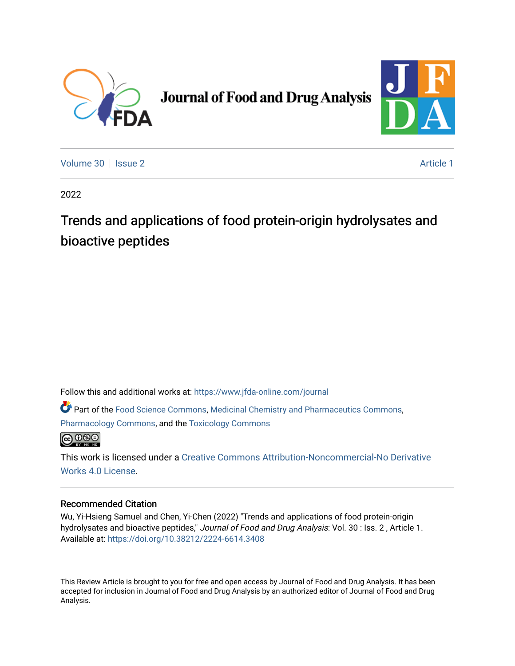

# **Journal of Food and Drug Analysis**



[Volume 30](https://www.jfda-online.com/journal/vol30) | [Issue 2](https://www.jfda-online.com/journal/vol30/iss2) Article 1

2022

## Trends and applications of food protein-origin hydrolysates and bioactive peptides

Follow this and additional works at: [https://www.jfda-online.com/journal](https://www.jfda-online.com/journal?utm_source=www.jfda-online.com%2Fjournal%2Fvol30%2Fiss2%2F1&utm_medium=PDF&utm_campaign=PDFCoverPages)

Part of the [Food Science Commons,](https://network.bepress.com/hgg/discipline/84?utm_source=www.jfda-online.com%2Fjournal%2Fvol30%2Fiss2%2F1&utm_medium=PDF&utm_campaign=PDFCoverPages) [Medicinal Chemistry and Pharmaceutics Commons](https://network.bepress.com/hgg/discipline/65?utm_source=www.jfda-online.com%2Fjournal%2Fvol30%2Fiss2%2F1&utm_medium=PDF&utm_campaign=PDFCoverPages), [Pharmacology Commons,](https://network.bepress.com/hgg/discipline/66?utm_source=www.jfda-online.com%2Fjournal%2Fvol30%2Fiss2%2F1&utm_medium=PDF&utm_campaign=PDFCoverPages) and the [Toxicology Commons](https://network.bepress.com/hgg/discipline/67?utm_source=www.jfda-online.com%2Fjournal%2Fvol30%2Fiss2%2F1&utm_medium=PDF&utm_campaign=PDFCoverPages)



This work is licensed under a [Creative Commons Attribution-Noncommercial-No Derivative](https://creativecommons.org/licenses/by-nc-nd/4.0/)  [Works 4.0 License](https://creativecommons.org/licenses/by-nc-nd/4.0/).

### Recommended Citation

Wu, Yi-Hsieng Samuel and Chen, Yi-Chen (2022) "Trends and applications of food protein-origin hydrolysates and bioactive peptides," Journal of Food and Drug Analysis: Vol. 30 : Iss. 2, Article 1. Available at:<https://doi.org/10.38212/2224-6614.3408>

This Review Article is brought to you for free and open access by Journal of Food and Drug Analysis. It has been accepted for inclusion in Journal of Food and Drug Analysis by an authorized editor of Journal of Food and Drug Analysis.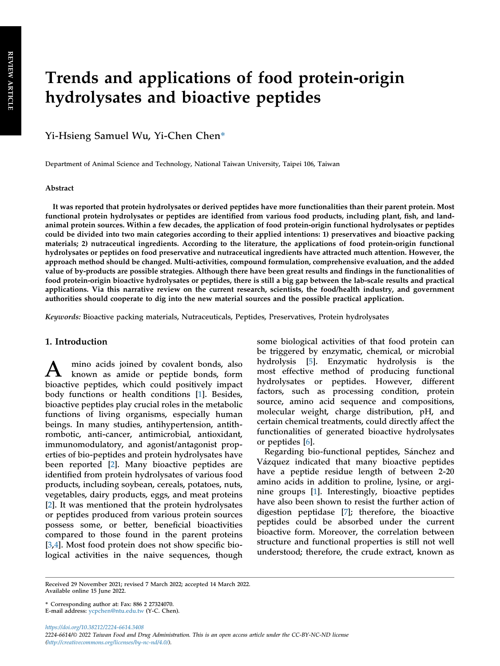## Trends and applications of food protein-origin hydrolysates and bioactive peptides

Yi-Hsieng Samuel Wu, Yi-Chen Chen\*

Department of Animal Science and Technology, National Taiwan University, Taipei 106, Taiwan

#### Abstract

It was reported that protein hydrolysates or derived peptides have more functionalities than their parent protein. Most functional protein hydrolysates or peptides are identified from various food products, including plant, fish, and landanimal protein sources. Within a few decades, the application of food protein-origin functional hydrolysates or peptides could be divided into two main categories according to their applied intentions: 1) preservatives and bioactive packing materials; 2) nutraceutical ingredients. According to the literature, the applications of food protein-origin functional hydrolysates or peptides on food preservative and nutraceutical ingredients have attracted much attention. However, the approach method should be changed. Multi-activities, compound formulation, comprehensive evaluation, and the added value of by-products are possible strategies. Although there have been great results and findings in the functionalities of food protein-origin bioactive hydrolysates or peptides, there is still a big gap between the lab-scale results and practical applications. Via this narrative review on the current research, scientists, the food/health industry, and government authorities should cooperate to dig into the new material sources and the possible practical application.

Keywords: Bioactive packing materials, Nutraceuticals, Peptides, Preservatives, Protein hydrolysates

#### 1. Introduction

A mino acids joined by covalent bonds, also known as amide or peptide bonds, form bioactive peptides, which could positively impact body functions or health conditions [[1\]](#page-10-0). Besides, bioactive peptides play crucial roles in the metabolic functions of living organisms, especially human beings. In many studies, antihypertension, antithrombotic, anti-cancer, antimicrobial, antioxidant, immunomodulatory, and agonist/antagonist properties of bio-peptides and protein hydrolysates have been reported [[2\]](#page-10-1). Many bioactive peptides are identified from protein hydrolysates of various food products, including soybean, cereals, potatoes, nuts, vegetables, dairy products, eggs, and meat proteins [\[2](#page-10-1)]. It was mentioned that the protein hydrolysates or peptides produced from various protein sources possess some, or better, beneficial bioactivities compared to those found in the parent proteins [\[3](#page-10-2),[4\]](#page-10-3). Most food protein does not show specific biological activities in the naive sequences, though

some biological activities of that food protein can be triggered by enzymatic, chemical, or microbial hydrolysis [[5\]](#page-10-4). Enzymatic hydrolysis is the most effective method of producing functional hydrolysates or peptides. However, different factors, such as processing condition, protein source, amino acid sequence and compositions, molecular weight, charge distribution, pH, and certain chemical treatments, could directly affect the functionalities of generated bioactive hydrolysates or peptides [\[6](#page-10-5)].

Regarding bio-functional peptides, Sánchez and Vázquez indicated that many bioactive peptides have a peptide residue length of between 2-20 amino acids in addition to proline, lysine, or arginine groups [\[1](#page-10-0)]. Interestingly, bioactive peptides have also been shown to resist the further action of digestion peptidase [[7\]](#page-10-6); therefore, the bioactive peptides could be absorbed under the current bioactive form. Moreover, the correlation between structure and functional properties is still not well understood; therefore, the crude extract, known as

<https://doi.org/10.38212/2224-6614.3408> 2224-6614/© 2022 Taiwan Food and Drug Administration. This is an open access article under the CC-BY-NC-ND license [\(http://creativecommons.org/licenses/by-nc-nd/4.0/\)](http://creativecommons.org/licenses/by-nc-nd/4.0/).

Received 29 November 2021; revised 7 March 2022; accepted 14 March 2022. Available online 15 June 2022.

<sup>\*</sup> Corresponding author at: Fax: 886 2 27324070.

E-mail address: [ycpchen@ntu.edu.tw](mailto:ycpchen@ntu.edu.tw) (Y-C. Chen).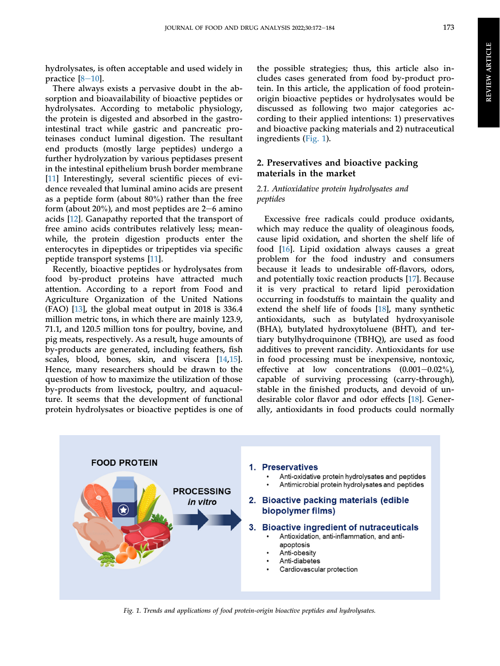hydrolysates, is often acceptable and used widely in practice  $[8-10]$  $[8-10]$  $[8-10]$  $[8-10]$  $[8-10]$ .

There always exists a pervasive doubt in the absorption and bioavailability of bioactive peptides or hydrolysates. According to metabolic physiology, the protein is digested and absorbed in the gastrointestinal tract while gastric and pancreatic proteinases conduct luminal digestion. The resultant end products (mostly large peptides) undergo a further hydrolyzation by various peptidases present in the intestinal epithelium brush border membrane [\[11](#page-10-8)] Interestingly, several scientific pieces of evidence revealed that luminal amino acids are present as a peptide form (about 80%) rather than the free form (about  $20\%$ ), and most peptides are  $2-6$  amino acids [\[12](#page-10-9)]. Ganapathy reported that the transport of free amino acids contributes relatively less; meanwhile, the protein digestion products enter the enterocytes in dipeptides or tripeptides via specific peptide transport systems [[11\]](#page-10-8).

Recently, bioactive peptides or hydrolysates from food by-product proteins have attracted much attention. According to a report from Food and Agriculture Organization of the United Nations (FAO) [[13\]](#page-10-10), the global meat output in 2018 is 336.4 million metric tons, in which there are mainly 123.9, 71.1, and 120.5 million tons for poultry, bovine, and pig meats, respectively. As a result, huge amounts of by-products are generated, including feathers, fish scales, blood, bones, skin, and viscera [[14](#page-10-11)[,15](#page-10-12)]. Hence, many researchers should be drawn to the question of how to maximize the utilization of those by-products from livestock, poultry, and aquaculture. It seems that the development of functional protein hydrolysates or bioactive peptides is one of the possible strategies; thus, this article also includes cases generated from food by-product protein. In this article, the application of food proteinorigin bioactive peptides or hydrolysates would be discussed as following two major categories according to their applied intentions: 1) preservatives and bioactive packing materials and 2) nutraceutical ingredients ([Fig. 1\)](#page-2-0).

### 2. Preservatives and bioactive packing materials in the market

#### 2.1. Antioxidative protein hydrolysates and peptides

Excessive free radicals could produce oxidants, which may reduce the quality of oleaginous foods, cause lipid oxidation, and shorten the shelf life of food [[16\]](#page-10-13). Lipid oxidation always causes a great problem for the food industry and consumers because it leads to undesirable off-flavors, odors, and potentially toxic reaction products [\[17](#page-10-14)]. Because it is very practical to retard lipid peroxidation occurring in foodstuffs to maintain the quality and extend the shelf life of foods [\[18](#page-10-15)], many synthetic antioxidants, such as butylated hydroxyanisole (BHA), butylated hydroxytoluene (BHT), and tertiary butylhydroquinone (TBHQ), are used as food additives to prevent rancidity. Antioxidants for use in food processing must be inexpensive, nontoxic, effective at low concentrations  $(0.001-0.02\%)$ , capable of surviving processing (carry-through), stable in the finished products, and devoid of undesirable color flavor and odor effects [[18\]](#page-10-15). Generally, antioxidants in food products could normally

<span id="page-2-0"></span>

Fig. 1. Trends and applications of food protein-origin bioactive peptides and hydrolysates.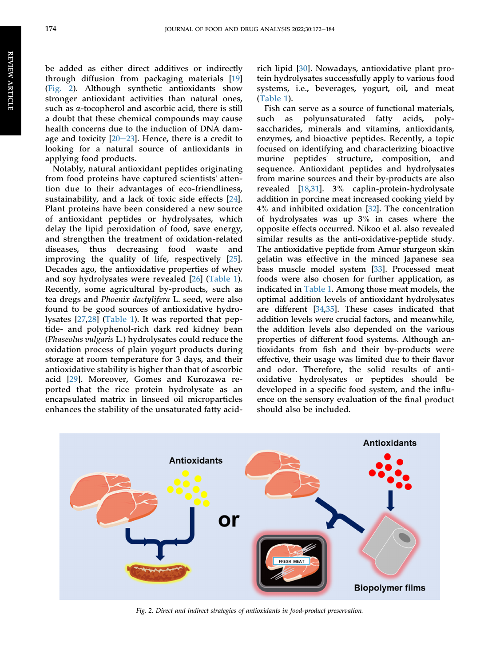be added as either direct additives or indirectly through diffusion from packaging materials [[19\]](#page-10-16) [\(Fig. 2\)](#page-3-0). Although synthetic antioxidants show stronger antioxidant activities than natural ones, such as a-tocopherol and ascorbic acid, there is still a doubt that these chemical compounds may cause health concerns due to the induction of DNA damage and toxicity  $[20-23]$  $[20-23]$  $[20-23]$  $[20-23]$  $[20-23]$ . Hence, there is a credit to looking for a natural source of antioxidants in applying food products.

Notably, natural antioxidant peptides originating from food proteins have captured scientists' attention due to their advantages of eco-friendliness, sustainability, and a lack of toxic side effects [\[24](#page-10-18)]. Plant proteins have been considered a new source of antioxidant peptides or hydrolysates, which delay the lipid peroxidation of food, save energy, and strengthen the treatment of oxidation-related diseases, thus decreasing food waste and improving the quality of life, respectively [\[25](#page-10-19)]. Decades ago, the antioxidative properties of whey and soy hydrolysates were revealed [[26\]](#page-10-20) ([Table 1](#page-4-0)). Recently, some agricultural by-products, such as tea dregs and Phoenix dactylifera L. seed, were also found to be good sources of antioxidative hydrolysates [[27](#page-10-21),[28\]](#page-11-0) ([Table 1](#page-4-0)). It was reported that peptide- and polyphenol-rich dark red kidney bean (Phaseolus vulgaris L.) hydrolysates could reduce the oxidation process of plain yogurt products during storage at room temperature for 3 days, and their antioxidative stability is higher than that of ascorbic acid [[29\]](#page-11-1). Moreover, Gomes and Kurozawa reported that the rice protein hydrolysate as an encapsulated matrix in linseed oil microparticles enhances the stability of the unsaturated fatty acidrich lipid [\[30](#page-11-2)]. Nowadays, antioxidative plant protein hydrolysates successfully apply to various food systems, i.e., beverages, yogurt, oil, and meat [\(Table 1](#page-4-0)).

Fish can serve as a source of functional materials, such as polyunsaturated fatty acids, polysaccharides, minerals and vitamins, antioxidants, enzymes, and bioactive peptides. Recently, a topic focused on identifying and characterizing bioactive murine peptides' structure, composition, and sequence. Antioxidant peptides and hydrolysates from marine sources and their by-products are also revealed [\[18](#page-10-15),[31\]](#page-11-3). 3% caplin-protein-hydrolysate addition in porcine meat increased cooking yield by 4% and inhibited oxidation [[32\]](#page-11-4). The concentration of hydrolysates was up 3% in cases where the opposite effects occurred. Nikoo et al. also revealed similar results as the anti-oxidative-peptide study. The antioxidative peptide from Amur sturgeon skin gelatin was effective in the minced Japanese sea bass muscle model system [[33\]](#page-11-5). Processed meat foods were also chosen for further application, as indicated in [Table 1](#page-4-0). Among those meat models, the optimal addition levels of antioxidant hydrolysates are different [\[34](#page-11-6),[35\]](#page-11-7). These cases indicated that addition levels were crucial factors, and meanwhile, the addition levels also depended on the various properties of different food systems. Although antioxidants from fish and their by-products were effective, their usage was limited due to their flavor and odor. Therefore, the solid results of antioxidative hydrolysates or peptides should be developed in a specific food system, and the influence on the sensory evaluation of the final product should also be included.

<span id="page-3-0"></span>

Fig. 2. Direct and indirect strategies of antioxidants in food-product preservation.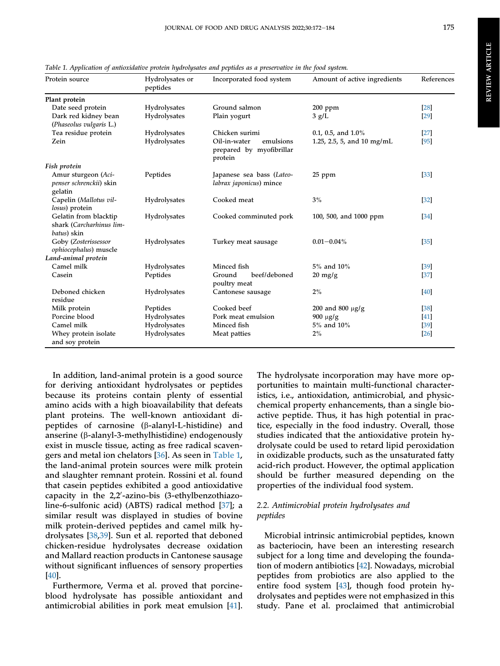REVIEW ARTICLEREVIEW ARTICLE

| $\cdots$                                                  |                             |                                                                  |                                 |            |
|-----------------------------------------------------------|-----------------------------|------------------------------------------------------------------|---------------------------------|------------|
| Protein source                                            | Hydrolysates or<br>peptides | Incorporated food system                                         | Amount of active ingredients    | References |
| Plant protein                                             |                             |                                                                  |                                 |            |
| Date seed protein                                         | Hydrolysates                | Ground salmon                                                    | $200$ ppm                       | $[28]$     |
| Dark red kidney bean<br>(Phaseolus vulgaris L.)           | Hydrolysates                | Plain yogurt                                                     | 3 g/L                           | $[29]$     |
| Tea residue protein                                       | Hydrolysates                | Chicken surimi                                                   | 0.1, 0.5, and $1.0\%$           | $[27]$     |
| Zein                                                      | Hydrolysates                | Oil-in-water<br>emulsions<br>prepared by myofibrillar<br>protein | 1.25, 2.5, 5, and 10 mg/mL      | [95]       |
| Fish protein                                              |                             |                                                                  |                                 |            |
| Amur sturgeon (Aci-<br>penser schrenckii) skin<br>gelatin | Peptides                    | Japanese sea bass (Lateo-<br>labrax japonicus) mince             | 25 ppm                          | [33]       |
| Capelin (Mallotus vil-                                    | Hydrolysates                | Cooked meat                                                      | $3\%$                           | $[32]$     |
| losus) protein                                            |                             |                                                                  |                                 |            |
| Gelatin from blacktip<br>shark (Carcharhinus lim-         | Hydrolysates                | Cooked comminuted pork                                           | 100, 500, and 1000 ppm          | [34]       |
| batus) skin                                               |                             |                                                                  |                                 |            |
| Goby (Zosterissessor<br>ophiocephalus) muscle             | Hydrolysates                | Turkey meat sausage                                              | $0.01 - 0.04\%$                 | [35]       |
| Land-animal protein                                       |                             |                                                                  |                                 |            |
| Camel milk                                                | Hydrolysates                | Minced fish                                                      | 5% and 10%                      | $[39]$     |
| Casein                                                    | Peptides                    | beef/deboned<br>Ground<br>poultry meat                           | $20 \frac{\text{mg}}{\text{g}}$ | $[37]$     |
| Deboned chicken<br>residue                                | Hydrolysates                | Cantonese sausage                                                | 2%                              | [40]       |
| Milk protein                                              | Peptides                    | Cooked beef                                                      | 200 and 800 $\mu$ g/g           | [38]       |
| Porcine blood                                             | Hydrolysates                | Pork meat emulsion                                               | $900 \mu g/g$                   | [41]       |
| Camel milk                                                | Hydrolysates                | Minced fish                                                      | 5% and 10%                      | [39]       |
| Whey protein isolate<br>and soy protein                   | Hydrolysates                | Meat patties                                                     | 2%                              | [26]       |

<span id="page-4-0"></span>Table 1. Application of antioxidative protein hydrolysates and peptides as a preservative in the food system.

In addition, land-animal protein is a good source for deriving antioxidant hydrolysates or peptides because its proteins contain plenty of essential amino acids with a high bioavailability that defeats plant proteins. The well-known antioxidant dipeptides of carnosine (b-alanyl-L-histidine) and anserine (b-alanyl-3-methylhistidine) endogenously exist in muscle tissue, acting as free radical scavengers and metal ion chelators [[36\]](#page-11-8). As seen in [Table 1,](#page-4-0) the land-animal protein sources were milk protein and slaughter remnant protein. Rossini et al. found that casein peptides exhibited a good antioxidative capacity in the 2,2'-azino-bis (3-ethylbenzothiazoline-6-sulfonic acid) (ABTS) radical method [[37\]](#page-11-9); a similar result was displayed in studies of bovine milk protein-derived peptides and camel milk hydrolysates [[38](#page-11-10),[39\]](#page-11-11). Sun et al. reported that deboned chicken-residue hydrolysates decrease oxidation and Mallard reaction products in Cantonese sausage without significant influences of sensory properties [\[40](#page-11-12)].

Furthermore, Verma et al. proved that porcineblood hydrolysate has possible antioxidant and antimicrobial abilities in pork meat emulsion [\[41](#page-11-13)].

The hydrolysate incorporation may have more opportunities to maintain multi-functional characteristics, i.e., antioxidation, antimicrobial, and physicchemical property enhancements, than a single bioactive peptide. Thus, it has high potential in practice, especially in the food industry. Overall, those studies indicated that the antioxidative protein hydrolysate could be used to retard lipid peroxidation in oxidizable products, such as the unsaturated fatty acid-rich product. However, the optimal application should be further measured depending on the properties of the individual food system.

#### 2.2. Antimicrobial protein hydrolysates and peptides

Microbial intrinsic antimicrobial peptides, known as bacteriocin, have been an interesting research subject for a long time and developing the foundation of modern antibiotics [[42\]](#page-11-14). Nowadays, microbial peptides from probiotics are also applied to the entire food system [[43\]](#page-11-15), though food protein hydrolysates and peptides were not emphasized in this study. Pane et al. proclaimed that antimicrobial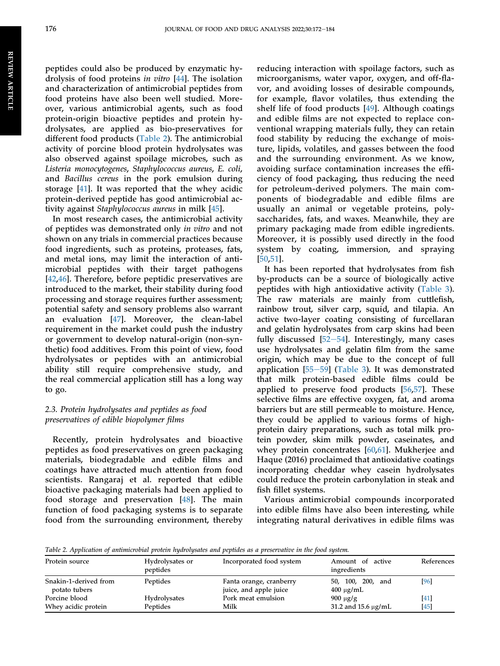peptides could also be produced by enzymatic hydrolysis of food proteins in vitro [[44\]](#page-11-16). The isolation and characterization of antimicrobial peptides from food proteins have also been well studied. Moreover, various antimicrobial agents, such as food protein-origin bioactive peptides and protein hydrolysates, are applied as bio-preservatives for different food products ([Table 2](#page-5-0)). The antimicrobial activity of porcine blood protein hydrolysates was also observed against spoilage microbes, such as Listeria monocytogenes, Staphylococcus aureus, E. coli, and Bacillus cereus in the pork emulsion during storage [[41\]](#page-11-13). It was reported that the whey acidic protein-derived peptide has good antimicrobial activity against Staphylococcus aureus in milk [[45\]](#page-11-17).

In most research cases, the antimicrobial activity of peptides was demonstrated only in vitro and not shown on any trials in commercial practices because food ingredients, such as proteins, proteases, fats, and metal ions, may limit the interaction of antimicrobial peptides with their target pathogens [\[42](#page-11-14),[46\]](#page-11-18). Therefore, before peptidic preservatives are introduced to the market, their stability during food processing and storage requires further assessment; potential safety and sensory problems also warrant an evaluation [\[47](#page-11-19)]. Moreover, the clean-label requirement in the market could push the industry or government to develop natural-origin (non-synthetic) food additives. From this point of view, food hydrolysates or peptides with an antimicrobial ability still require comprehensive study, and the real commercial application still has a long way to go.

#### 2.3. Protein hydrolysates and peptides as food preservatives of edible biopolymer films

Recently, protein hydrolysates and bioactive peptides as food preservatives on green packaging materials, biodegradable and edible films and coatings have attracted much attention from food scientists. Rangaraj et al. reported that edible bioactive packaging materials had been applied to food storage and preservation [[48](#page-11-20)]. The main function of food packaging systems is to separate food from the surrounding environment, thereby reducing interaction with spoilage factors, such as microorganisms, water vapor, oxygen, and off-flavor, and avoiding losses of desirable compounds, for example, flavor volatiles, thus extending the shelf life of food products [[49](#page-11-21)]. Although coatings and edible films are not expected to replace conventional wrapping materials fully, they can retain food stability by reducing the exchange of moisture, lipids, volatiles, and gasses between the food and the surrounding environment. As we know, avoiding surface contamination increases the efficiency of food packaging, thus reducing the need for petroleum-derived polymers. The main components of biodegradable and edible films are usually an animal or vegetable proteins, polysaccharides, fats, and waxes. Meanwhile, they are primary packaging made from edible ingredients. Moreover, it is possibly used directly in the food system by coating, immersion, and spraying [\[50,](#page-11-22)[51](#page-11-23)].

It has been reported that hydrolysates from fish by-products can be a source of biologically active peptides with high antioxidative activity [\(Table 3\)](#page-6-0). The raw materials are mainly from cuttlefish, rainbow trout, silver carp, squid, and tilapia. An active two-layer coating consisting of furcellaran and gelatin hydrolysates from carp skins had been fully discussed  $[52-54]$  $[52-54]$  $[52-54]$  $[52-54]$  $[52-54]$ . Interestingly, many cases use hydrolysates and gelatin film from the same origin, which may be due to the concept of full application  $[55-59]$  $[55-59]$  $[55-59]$  $[55-59]$  $[55-59]$  ([Table 3](#page-6-0)). It was demonstrated that milk protein-based edible films could be applied to preserve food products [[56,](#page-11-26)[57](#page-11-27)]. These selective films are effective oxygen, fat, and aroma barriers but are still permeable to moisture. Hence, they could be applied to various forms of highprotein dairy preparations, such as total milk protein powder, skim milk powder, caseinates, and whey protein concentrates [\[60](#page-11-28),[61\]](#page-11-29). Mukherjee and Haque (2016) proclaimed that antioxidative coatings incorporating cheddar whey casein hydrolysates could reduce the protein carbonylation in steak and fish fillet systems.

Various antimicrobial compounds incorporated into edible films have also been interesting, while integrating natural derivatives in edible films was

<span id="page-5-0"></span>Table 2. Application of antimicrobial protein hydrolysates and peptides as a preservative in the food system.

| Protein source                         | Hydrolysates or<br>peptides | Incorporated food system                          | Amount of active<br>ingredients           | References     |
|----------------------------------------|-----------------------------|---------------------------------------------------|-------------------------------------------|----------------|
| Snakin-1-derived from<br>potato tubers | Peptides                    | Fanta orange, cranberry<br>juice, and apple juice | 50, 100, 200, and<br>$400 \mu g/mL$       | [96]           |
| Porcine blood<br>Whey acidic protein   | Hydrolysates<br>Peptides    | Pork meat emulsion<br>Milk                        | $900 \mu g/g$<br>31.2 and 15.6 $\mu$ g/mL | [41]<br>$[45]$ |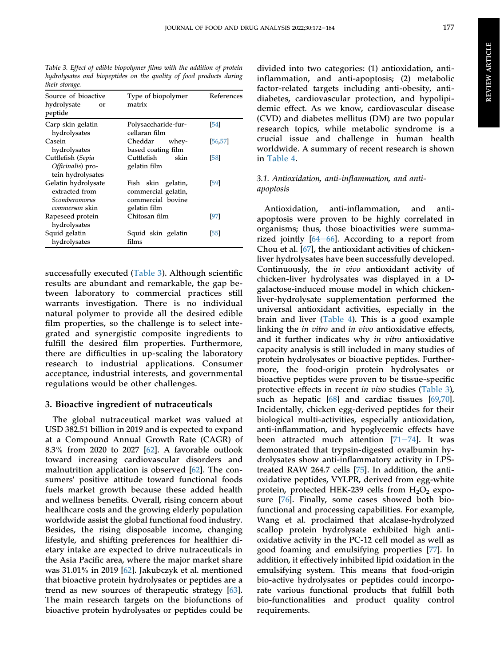<span id="page-6-0"></span>Table 3. Effect of edible biopolymer films with the addition of protein hydrolysates and biopeptides on the quality of food products during their storage.

| Source of bioactive<br>hydrolysate<br>or<br>peptide                      | Type of biopolymer<br>matrix                                                   | References |
|--------------------------------------------------------------------------|--------------------------------------------------------------------------------|------------|
| Carp skin gelatin<br>hydrolysates                                        | Polysaccharide-fur-<br>cellaran film                                           | [54]       |
| Casein<br>hydrolysates                                                   | Cheddar<br>whey-<br>based coating film                                         | 56.57      |
| Cuttlefish (Sepia<br>Officinalis) pro-<br>tein hydrolysates              | Cuttlefish<br>skin<br>gelatin film                                             | 58         |
| Gelatin hydrolysate<br>extracted from<br>Scomberomorus<br>commerson skin | Fish skin gelatin,<br>commercial gelatin,<br>commercial bovine<br>gelatin film | [59]       |
| Rapeseed protein<br>hydrolysates                                         | Chitosan film                                                                  | [97]       |
| Squid gelatin<br>hydrolysates                                            | Squid skin gelatin<br>films                                                    | 551        |

successfully executed [\(Table 3](#page-6-0)). Although scientific results are abundant and remarkable, the gap between laboratory to commercial practices still warrants investigation. There is no individual natural polymer to provide all the desired edible film properties, so the challenge is to select integrated and synergistic composite ingredients to fulfill the desired film properties. Furthermore, there are difficulties in up-scaling the laboratory research to industrial applications. Consumer acceptance, industrial interests, and governmental regulations would be other challenges.

#### 3. Bioactive ingredient of nutraceuticals

The global nutraceutical market was valued at USD 382.51 billion in 2019 and is expected to expand at a Compound Annual Growth Rate (CAGR) of 8.3% from 2020 to 2027 [\[62](#page-11-30)]. A favorable outlook toward increasing cardiovascular disorders and malnutrition application is observed [\[62](#page-11-30)]. The consumers' positive attitude toward functional foods fuels market growth because these added health and wellness benefits. Overall, rising concern about healthcare costs and the growing elderly population worldwide assist the global functional food industry. Besides, the rising disposable income, changing lifestyle, and shifting preferences for healthier dietary intake are expected to drive nutraceuticals in the Asia Pacific area, where the major market share was 31.01% in 2019 [\[62](#page-11-30)]. Jakubczyk et al. mentioned that bioactive protein hydrolysates or peptides are a trend as new sources of therapeutic strategy [\[63](#page-12-2)]. The main research targets on the biofunctions of bioactive protein hydrolysates or peptides could be

divided into two categories: (1) antioxidation, antiinflammation, and anti-apoptosis; (2) metabolic factor-related targets including anti-obesity, antidiabetes, cardiovascular protection, and hypolipidemic effect. As we know, cardiovascular disease (CVD) and diabetes mellitus (DM) are two popular research topics, while metabolic syndrome is a crucial issue and challenge in human health worldwide. A summary of recent research is shown in [Table 4.](#page-7-0)

#### 3.1. Antioxidation, anti-inflammation, and antiapoptosis

Antioxidation, anti-inflammation, and antiapoptosis were proven to be highly correlated in organisms; thus, those bioactivities were summarized jointly  $[64-66]$  $[64-66]$  $[64-66]$ . According to a report from Chou et al. [[67\]](#page-12-4), the antioxidant activities of chickenliver hydrolysates have been successfully developed. Continuously, the in vivo antioxidant activity of chicken-liver hydrolysates was displayed in a Dgalactose-induced mouse model in which chickenliver-hydrolysate supplementation performed the universal antioxidant activities, especially in the brain and liver ([Table 4\)](#page-7-0). This is a good example linking the in vitro and in vivo antioxidative effects, and it further indicates why in vitro antioxidative capacity analysis is still included in many studies of protein hydrolysates or bioactive peptides. Furthermore, the food-origin protein hydrolysates or bioactive peptides were proven to be tissue-specific protective effects in recent in vivo studies [\(Table 3\)](#page-6-0), such as hepatic [[68\]](#page-12-5) and cardiac tissues [\[69](#page-12-6),[70\]](#page-12-7). Incidentally, chicken egg-derived peptides for their biological multi-activities, especially antioxidation, anti-inflammation, and hypoglycemic effects have been attracted much attention  $[71-74]$  $[71-74]$  $[71-74]$ . It was demonstrated that trypsin-digested ovalbumin hydrolysates show anti-inflammatory activity in LPStreated RAW 264.7 cells [\[75](#page-12-9)]. In addition, the antioxidative peptides, VYLPR, derived from egg-white protein, protected HEK-239 cells from  $H_2O_2$  exposure [[76\]](#page-12-10). Finally, some cases showed both biofunctional and processing capabilities. For example, Wang et al. proclaimed that alcalase-hydrolyzed scallop protein hydrolysate exhibited high antioxidative activity in the PC-12 cell model as well as good foaming and emulsifying properties [\[77](#page-12-11)]. In addition, it effectively inhibited lipid oxidation in the emulsifying system. This means that food-origin bio-active hydrolysates or peptides could incorporate various functional products that fulfill both bio-functionalities and product quality control requirements.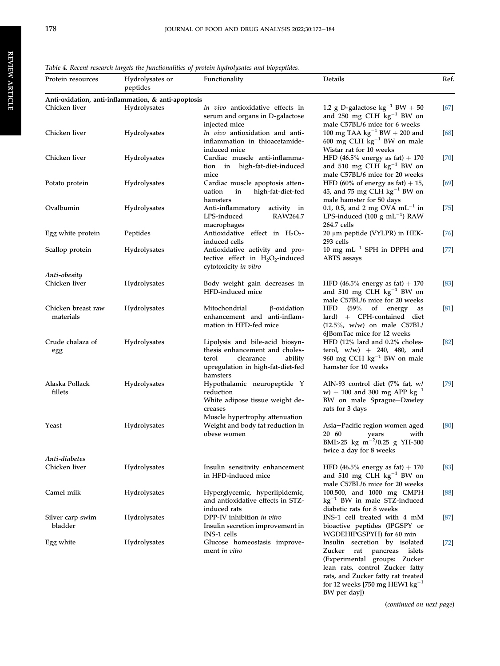<span id="page-7-0"></span>Table 4. Recent research targets the functionalities of protein hydrolysates and biopeptides.

| Protein resources               | Hydrolysates or<br>peptides                         | Functionality                                                                                                                                       | Details                                                                                                                                                                                                                              | Ref.   |
|---------------------------------|-----------------------------------------------------|-----------------------------------------------------------------------------------------------------------------------------------------------------|--------------------------------------------------------------------------------------------------------------------------------------------------------------------------------------------------------------------------------------|--------|
|                                 | Anti-oxidation, anti-inflammation, & anti-apoptosis |                                                                                                                                                     |                                                                                                                                                                                                                                      |        |
| Chicken liver                   | Hydrolysates                                        | In vivo antioxidative effects in<br>serum and organs in D-galactose<br>injected mice                                                                | 1.2 g D-galactose $kg^{-1}$ BW + 50<br>and $250$ mg CLH $\bar{kg}^{-1}$ BW on<br>male C57BL/6 mice for 6 weeks                                                                                                                       | [67]   |
| Chicken liver                   | Hydrolysates                                        | In vivo antioxidation and anti-<br>inflammation in thioacetamide-<br>induced mice                                                                   | 100 mg TAA $\text{kg}^{-1}$ BW + 200 and<br>600 mg CLH $\text{kg}^{-1}$ BW on male<br>Wistar rat for 10 weeks                                                                                                                        | [68]   |
| Chicken liver                   | Hydrolysates                                        | Cardiac muscle anti-inflamma-<br>tion in high-fat-diet-induced                                                                                      | HFD $(46.5\%$ energy as fat) + 170<br>and 510 mg CLH $kg^{-1}$ BW on                                                                                                                                                                 | [70]   |
| Potato protein                  | Hydrolysates                                        | mice<br>Cardiac muscle apoptosis atten-<br>high-fat-diet-fed<br>uation<br>in                                                                        | male C57BL/6 mice for 20 weeks<br>HFD (60% of energy as fat) $+15$ ,<br>45, and 75 mg CLH $\text{kg}^{-1}$ BW on                                                                                                                     | [69]   |
| Ovalbumin                       | Hydrolysates                                        | hamsters<br>Anti-inflammatory<br>activity in<br>LPS-induced<br>RAW264.7<br>macrophages                                                              | male hamster for 50 days<br>0.1, 0.5, and 2 mg OVA $mL^{-1}$ in<br>LPS-induced (100 g mL <sup>-1</sup> ) RAW<br>264.7 cells                                                                                                          | [75]   |
| Egg white protein               | Peptides                                            | Antioxidative effect in $H_2O_2$ -<br>induced cells                                                                                                 | 20 μm peptide (VYLPR) in HEK-<br>293 cells                                                                                                                                                                                           | 76     |
| Scallop protein                 | Hydrolysates                                        | Antioxidative activity and pro-<br>tective effect in $H_2O_2$ -induced<br>cytotoxicity in vitro                                                     | 10 mg $mL^{-1}$ SPH in DPPH and<br>ABTS assays                                                                                                                                                                                       | [77]   |
| Anti-obesity                    |                                                     |                                                                                                                                                     |                                                                                                                                                                                                                                      |        |
| Chicken liver                   | Hydrolysates                                        | Body weight gain decreases in<br>HFD-induced mice                                                                                                   | HFD $(46.5\%$ energy as fat) + 170<br>and 510 mg CLH $kg^{-1}$ BW on<br>male C57BL/6 mice for 20 weeks                                                                                                                               | 83     |
| Chicken breast raw<br>materials | Hydrolysates                                        | β-oxidation<br>Mitochondrial<br>enhancement and anti-inflam-<br>mation in HFD-fed mice                                                              | (59%<br>HFD<br>of energy<br>as<br>+ CPH-contained diet<br>lard)<br>$(12.5\%$ , w/w) on male C57BL/<br>6JBomTac mice for 12 weeks                                                                                                     | [81]   |
| Crude chalaza of<br>egg         | Hydrolysates                                        | Lipolysis and bile-acid biosyn-<br>thesis enhancement and choles-<br>clearance<br>ability<br>terol<br>upregulation in high-fat-diet-fed<br>hamsters | HFD (12% lard and 0.2% choles-<br>terol, $w/w$ ) + 240, 480, and<br>960 mg CCH $kg^{-1}$ BW on male<br>hamster for 10 weeks                                                                                                          | [82]   |
| Alaska Pollack<br>fillets       | Hydrolysates                                        | Hypothalamic neuropeptide Y<br>reduction<br>White adipose tissue weight de-<br>creases<br>Muscle hypertrophy attenuation                            | AIN-93 control diet (7% fat, w/<br>w) + 100 and 300 mg APP $kg^{-1}$<br>BW on male Sprague-Dawley<br>rats for 3 days                                                                                                                 | $[79]$ |
| Yeast                           | Hydrolysates                                        | Weight and body fat reduction in<br>obese women                                                                                                     | Asia-Pacific region women aged<br>$20 - 60$<br>with<br>years<br>BMI>25 kg m <sup>-2</sup> /0.25 g YH-500<br>twice a day for 8 weeks                                                                                                  | 80     |
| Anti-diabetes<br>Chicken liver  | Hydrolysates                                        | Insulin sensitivity enhancement<br>in HFD-induced mice                                                                                              | HFD (46.5% energy as fat) $+$ 170<br>and 510 mg CLH $\text{kg}^{-1}$ BW on<br>male C57BL/6 mice for 20 weeks                                                                                                                         | [83]   |
| Camel milk                      | Hydrolysates                                        | Hyperglycemic, hyperlipidemic,<br>and antioxidative effects in STZ-<br>induced rats                                                                 | 100.500, and 1000 mg CMPH<br>$kg^{-1}$ BW in male STZ-induced<br>diabetic rats for 8 weeks                                                                                                                                           | [88]   |
| Silver carp swim<br>bladder     | Hydrolysates                                        | DPP-IV inhibition in vitro<br>Insulin secretion improvement in<br>INS-1 cells                                                                       | INS-1 cell treated with 4 mM<br>bioactive peptides (IPGSPY or<br>WGDEHIPGSPYH) for 60 min                                                                                                                                            | 87     |
| Egg white                       | Hydrolysates                                        | Glucose homeostasis improve-<br>ment in vitro                                                                                                       | Insulin secretion by isolated<br>Zucker<br>rat<br>pancreas<br>islets<br>(Experimental groups: Zucker<br>lean rats, control Zucker fatty<br>rats, and Zucker fatty rat treated<br>for 12 weeks [750 mg HEW1 $kg^{-1}$<br>BW per day]) | 72     |

(continued on next page)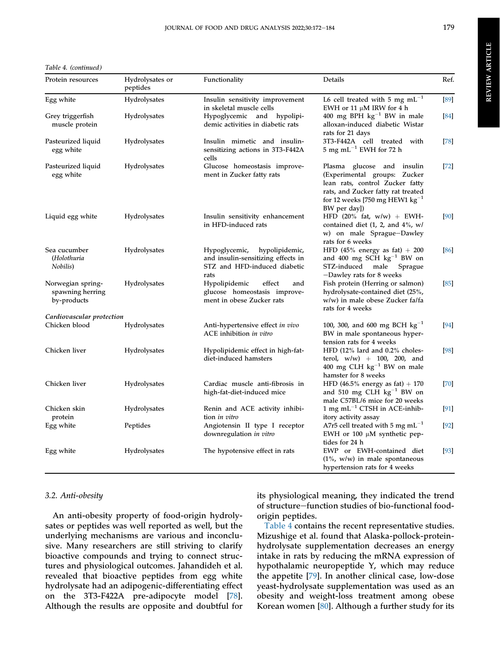Table 4. (continued )

| Protein resources                                    | Hydrolysates or<br>peptides | Functionality                                                                                                 | Details                                                                                                                                                                                    | Ref.   |
|------------------------------------------------------|-----------------------------|---------------------------------------------------------------------------------------------------------------|--------------------------------------------------------------------------------------------------------------------------------------------------------------------------------------------|--------|
| Egg white                                            | Hydrolysates                | Insulin sensitivity improvement<br>in skeletal muscle cells                                                   | L6 cell treated with 5 mg $\rm mL^{-1}$<br>EWH or 11 $\mu$ M IRW for 4 h                                                                                                                   | $[89]$ |
| Grey triggerfish<br>muscle protein                   | Hydrolysates                | Hypoglycemic and hypolipi-<br>demic activities in diabetic rats                                               | 400 mg BPH $\text{kg}^{-1}$ BW in male<br>alloxan-induced diabetic Wistar<br>rats for 21 days                                                                                              | [84]   |
| Pasteurized liquid<br>egg white                      | Hydrolysates                | Insulin mimetic and insulin-<br>sensitizing actions in 3T3-F442A<br>cells                                     | 3T3-F442A cell treated with<br>$5~{\rm mg}~{\rm mL}^{-1}$ EWH for 72 h                                                                                                                     | $[78]$ |
| Pasteurized liquid<br>egg white                      | Hydrolysates                | Glucose homeostasis improve-<br>ment in Zucker fatty rats                                                     | Plasma glucose and insulin<br>(Experimental groups: Zucker<br>lean rats, control Zucker fatty<br>rats, and Zucker fatty rat treated<br>for 12 weeks [750 mg HEW1 $kg^{-1}$<br>BW per day]) | $[72]$ |
| Liquid egg white                                     | Hydrolysates                | Insulin sensitivity enhancement<br>in HFD-induced rats                                                        | HFD $(20\%$ fat, w/w) + EWH-<br>contained diet $(1, 2,$ and $4\%$ , w/<br>w) on male Sprague-Dawley<br>rats for 6 weeks                                                                    | [90]   |
| Sea cucumber<br>(Holothuria<br>Nobilis)              | Hydrolysates                | hypolipidemic,<br>Hypoglycemic,<br>and insulin-sensitizing effects in<br>STZ and HFD-induced diabetic<br>rats | HFD (45% energy as fat) $+200$<br>and 400 mg SCH $kg^{-1}$ BW on<br>STZ-induced male<br>Sprague<br>-Dawley rats for 8 weeks                                                                | [86]   |
| Norwegian spring-<br>spawning herring<br>by-products | Hydrolysates                | Hypolipidemic<br>effect<br>and<br>glucose homeostasis improve-<br>ment in obese Zucker rats                   | Fish protein (Herring or salmon)<br>hydrolysate-contained diet (25%,<br>w/w) in male obese Zucker fa/fa<br>rats for 4 weeks                                                                | [85]   |
| Cardiovascular protection                            |                             |                                                                                                               |                                                                                                                                                                                            |        |
| Chicken blood                                        | Hydrolysates                | Anti-hypertensive effect in vivo<br>ACE inhibition in vitro                                                   | 100, 300, and 600 mg BCH $\text{kg}^{-1}$<br>BW in male spontaneous hyper-<br>tension rats for 4 weeks                                                                                     | [94]   |
| Chicken liver                                        | Hydrolysates                | Hypolipidemic effect in high-fat-<br>diet-induced hamsters                                                    | HFD (12% lard and 0.2% choles-<br>terol, $w/w$ ) + 100, 200, and<br>400 mg CLH $\text{kg}^{-1}$ BW on male<br>hamster for 8 weeks                                                          | $[98]$ |
| Chicken liver                                        | Hydrolysates                | Cardiac muscle anti-fibrosis in<br>high-fat-diet-induced mice                                                 | HFD (46.5% energy as fat) $+$ 170<br>and 510 mg CLH $kg^{-1}$ BW on<br>male C57BL/6 mice for 20 weeks                                                                                      | $[70]$ |
| Chicken skin<br>protein                              | Hydrolysates                | Renin and ACE activity inhibi-<br>tion in vitro                                                               | 1 mg $mL^{-1}$ CTSH in ACE-inhib-<br>itory activity assay                                                                                                                                  | [91]   |
| Egg white                                            | Peptides                    | Angiotensin II type I receptor<br>downregulation in vitro                                                     | A7r5 cell treated with 5 mg mL <sup><math>-1</math></sup><br>EWH or 100 µM synthetic pep-<br>tides for 24 h                                                                                | $[92]$ |
| Egg white                                            | Hydrolysates                | The hypotensive effect in rats                                                                                | EWP or EWH-contained diet<br>$(1\%$ , w/w) in male spontaneous<br>hypertension rats for 4 weeks                                                                                            | $[93]$ |

#### 3.2. Anti-obesity

An anti-obesity property of food-origin hydrolysates or peptides was well reported as well, but the underlying mechanisms are various and inconclusive. Many researchers are still striving to clarify bioactive compounds and trying to connect structures and physiological outcomes. Jahandideh et al. revealed that bioactive peptides from egg white hydrolysate had an adipogenic-differentiating effect on the 3T3-F422A pre-adipocyte model [\[78](#page-12-20)]. Although the results are opposite and doubtful for

its physiological meaning, they indicated the trend of structure-function studies of bio-functional foodorigin peptides.

[Table 4](#page-7-0) contains the recent representative studies. Mizushige et al. found that Alaska-pollock-proteinhydrolysate supplementation decreases an energy intake in rats by reducing the mRNA expression of hypothalamic neuropeptide Y, which may reduce the appetite [[79\]](#page-12-15). In another clinical case, low-dose yeast-hydrolysate supplementation was used as an obesity and weight-loss treatment among obese Korean women [\[80](#page-12-16)]. Although a further study for its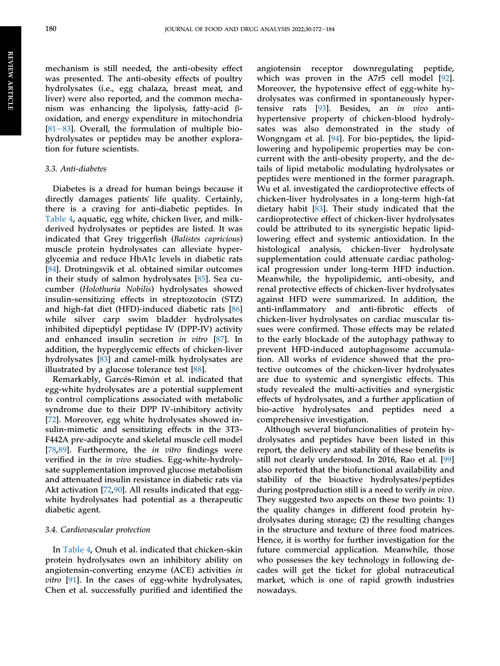**REVIEW ARTICLE** REVIEWARTICLE

mechanism is still needed, the anti-obesity effect was presented. The anti-obesity effects of poultry hydrolysates (i.e., egg chalaza, breast meat, and liver) were also reported, and the common mechanism was enhancing the lipolysis, fatty-acid  $\beta$ oxidation, and energy expenditure in mitochondria [ $81-83$ ]. Overall, the formulation of multiple biohydrolysates or peptides may be another exploration for future scientists.

#### 3.3. Anti-diabetes

Diabetes is a dread for human beings because it directly damages patients' life quality. Certainly, there is a craving for anti-diabetic peptides. In [Table 4](#page-7-0), aquatic, egg white, chicken liver, and milkderived hydrolysates or peptides are listed. It was indicated that Grey triggerfish (Balistes capricious) muscle protein hydrolysates can alleviate hyperglycemia and reduce HbA1c levels in diabetic rats [\[84](#page-12-22)]. Drotningsvik et al. obtained similar outcomes in their study of salmon hydrolysates [\[85](#page-12-25)]. Sea cucumber (Holothuria Nobilis) hydrolysates showed insulin-sensitizing effects in streptozotocin (STZ) and high-fat diet (HFD)-induced diabetic rats [[86\]](#page-12-24) while silver carp swim bladder hydrolysates inhibited dipeptidyl peptidase IV (DPP-IV) activity and enhanced insulin secretion in vitro [\[87](#page-12-18)]. In addition, the hyperglycemic effects of chicken-liver hydrolysates [[83\]](#page-12-12) and camel-milk hydrolysates are illustrated by a glucose tolerance test [[88\]](#page-12-17).

Remarkably, Garcés-Rimón et al. indicated that egg-white hydrolysates are a potential supplement to control complications associated with metabolic syndrome due to their DPP IV-inhibitory activity [\[72](#page-12-19)]. Moreover, egg white hydrolysates showed insulin-mimetic and sensitizing effects in the 3T3- F442A pre-adipocyte and skeletal muscle cell model [\[78](#page-12-20),[89\]](#page-12-21). Furthermore, the *in vitro* findings were verified in the in vivo studies. Egg-white-hydrolysate supplementation improved glucose metabolism and attenuated insulin resistance in diabetic rats via Akt activation [\[72](#page-12-19),[90\]](#page-12-23). All results indicated that eggwhite hydrolysates had potential as a therapeutic diabetic agent.

#### 3.4. Cardiovascular protection

In [Table 4,](#page-7-0) Onuh et al. indicated that chicken-skin protein hydrolysates own an inhibitory ability on angiotensin-converting enzyme (ACE) activities in vitro [\[91](#page-12-27)]. In the cases of egg-white hydrolysates, Chen et al. successfully purified and identified the angiotensin receptor downregulating peptide, which was proven in the A7r5 cell model [[92\]](#page-12-28). Moreover, the hypotensive effect of egg-white hydrolysates was confirmed in spontaneously hypertensive rats [[93\]](#page-12-29). Besides, an in vivo antihypertensive property of chicken-blood hydrolysates was also demonstrated in the study of Wongngam et al. [[94\]](#page-12-26). For bio-peptides, the lipidlowering and hypolipemic properties may be concurrent with the anti-obesity property, and the details of lipid metabolic modulating hydrolysates or peptides were mentioned in the former paragraph. Wu et al. investigated the cardioprotective effects of chicken-liver hydrolysates in a long-term high-fat dietary habit [\[83](#page-12-12)]. Their study indicated that the cardioprotective effect of chicken-liver hydrolysates could be attributed to its synergistic hepatic lipidlowering effect and systemic antioxidation. In the histological analysis, chicken-liver hydrolysate supplementation could attenuate cardiac pathological progression under long-term HFD induction. Meanwhile, the hypolipidemic, anti-obesity, and renal protective effects of chicken-liver hydrolysates against HFD were summarized. In addition, the anti-inflammatory and anti-fibrotic effects of chicken-liver hydrolysates on cardiac muscular tissues were confirmed. Those effects may be related to the early blockade of the autophagy pathway to prevent HFD-induced autophagosome accumulation. All works of evidence showed that the protective outcomes of the chicken-liver hydrolysates are due to systemic and synergistic effects. This study revealed the multi-activities and synergistic effects of hydrolysates, and a further application of bio-active hydrolysates and peptides need a comprehensive investigation.

Although several biofuncionalities of protein hydrolysates and peptides have been listed in this report, the delivery and stability of these benefits is still not clearly understood. In 2016, Rao et al. [\[99](#page-13-2)] also reported that the biofunctional availability and stability of the bioactive hydrolysates/peptides during postproduction still is a need to verify in vivo. They suggested two aspects on these two points: 1) the quality changes in different food protein hydrolysates during storage; (2) the resulting changes in the structure and texture of three food matrices. Hence, it is worthy for further investigation for the future commercial application. Meanwhile, those who possesses the key technology in following decades will get the ticket for global nutraceutical market, which is one of rapid growth industries nowadays.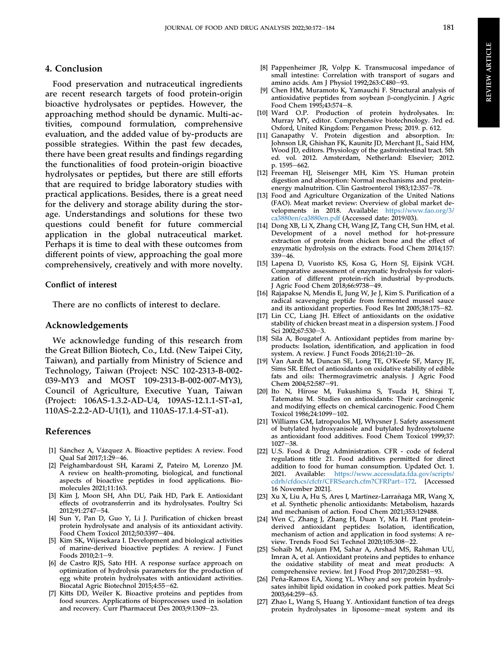#### 4. Conclusion

Food preservation and nutraceutical ingredients are recent research targets of food protein-origin bioactive hydrolysates or peptides. However, the approaching method should be dynamic. Multi-activities, compound formulation, comprehensive evaluation, and the added value of by-products are possible strategies. Within the past few decades, there have been great results and findings regarding the functionalities of food protein-origin bioactive hydrolysates or peptides, but there are still efforts that are required to bridge laboratory studies with practical applications. Besides, there is a great need for the delivery and storage ability during the storage. Understandings and solutions for these two questions could benefit for future commercial application in the global nutraceutical market. Perhaps it is time to deal with these outcomes from different points of view, approaching the goal more comprehensively, creatively and with more novelty.

#### Conflict of interest

There are no conflicts of interest to declare.

#### Acknowledgements

We acknowledge funding of this research from the Great Billion Biotech, Co., Ltd. (New Taipei City, Taiwan), and partially from Ministry of Science and Technology, Taiwan (Project: NSC 102-2313-B-002- 039-MY3 and MOST 109-2313-B-002-007-MY3), Council of Agriculture, Executive Yuan, Taiwan (Project: 106AS-1.3.2-AD-U4, 109AS-12.1.1-ST-a1, 110AS-2.2.2-AD-U1(1), and 110AS-17.1.4-ST-a1).

#### References

- <span id="page-10-0"></span>[1] Sánchez A, Vázquez A. Bioactive peptides: A review. Food Qual Saf 2017;1:29-46.
- <span id="page-10-1"></span>[2] Peighambardoust SH, Karami Z, Pateiro M, Lorenzo JM. A review on health-promoting, biological, and functional aspects of bioactive peptides in food applications. Biomolecules 2021;11:163.
- <span id="page-10-2"></span>[3] Kim J, Moon SH, Ahn DU, Paik HD, Park E. Antioxidant effects of ovotransferrin and its hydrolysates. Poultry Sci 2012;91:2747-54.
- <span id="page-10-3"></span>[4] Sun Y, Pan D, Guo Y, Li J. Purification of chicken breast protein hydrolysate and analysis of its antioxidant activity. Food Chem Toxicol 2012;50:3397-404.
- <span id="page-10-4"></span>[5] Kim SK, Wijesekara I. Development and biological activities of marine-derived bioactive peptides: A review. J Funct Foods 2010;2:1-9.
- <span id="page-10-5"></span>[6] de Castro RJS, Sato HH. A response surface approach on optimization of hydrolysis parameters for the production of egg white protein hydrolysates with antioxidant activities. Biocatal Agric Biotechnol 2015;4:55-62.
- <span id="page-10-6"></span>[7] Kitts DD, Weiler K. Bioactive proteins and peptides from food sources. Applications of bioprocesses used in isolation and recovery. Curr Pharmaceut Des 2003;9:1309-23.
- <span id="page-10-7"></span>[8] Pappenheimer JR, Volpp K. Transmucosal impedance of small intestine: Correlation with transport of sugars and amino acids. Am J Physiol  $1992;263:C480-93$ .
- [9] Chen HM, Muramoto K, Yamauchi F. Structural analysis of antioxidative peptides from soybean  $\beta$ -conglycinin. J Agric Food Chem 1995;43:574-8.
- [10] Ward O.P. Production of protein hydrolysates. In: Murray MY, editor. Comprehensive biotechnology. 3rd ed. Oxford, United Kingdom: Pergamon Press; 2019. p. 612.
- <span id="page-10-8"></span>[11] Ganapathy V. Protein digestion and absorption. In: Johnson LR, Ghishan FK, Kaunitz JD, Merchant JL, Said HM, Wood JD, editors. Physiology of the gastrointestinal tract. 5th ed. vol. 2012. Amsterdam, Netherland: Elsevier; 2012. p. 1595-662.
- <span id="page-10-9"></span>[12] Freeman HJ, Sleisenger MH, Kim YS. Human protein digestion and absorption: Normal mechanisms and proteinenergy malnutrition. Clin Gastroenterol 1983;12:357-78.
- <span id="page-10-10"></span>[13] Food and Agriculture Organization of the United Nations (FAO). Meat market review: Overview of global market developments in 2018. Available: [https://www.fao.org/3/](https://www.fao.org/3/ca3880en/ca3880en.pdf) [ca3880en/ca3880en.pdf](https://www.fao.org/3/ca3880en/ca3880en.pdf) (Accessed date: 2019/03).
- <span id="page-10-11"></span>[14] Dong XB, Li X, Zhang CH, Wang JZ, Tang CH, Sun HM, et al. Development of a novel method for hot-pressure extraction of protein from chicken bone and the effect of enzymatic hydrolysis on the extracts. Food Chem 2014;157:  $339 - 46.$
- <span id="page-10-12"></span>[15] Lapena D, Vuoristo KS, Kosa G, Horn SJ, Eijsink VGH. Comparative assessment of enzymatic hydrolysis for valorization of different protein-rich industrial by-products. J Agric Food Chem 2018;66:9738-49.
- <span id="page-10-13"></span>[16] Rajapakse N, Mendis E, Jung W, Je J, Kim S. Purification of a radical scavenging peptide from fermented mussel sauce and its antioxidant properties. Food Res Int 2005;38:175-82.
- <span id="page-10-14"></span>[17] Lin CC, Liang JH. Effect of antioxidants on the oxidative stability of chicken breast meat in a dispersion system. J Food Sci 2002;67:530-3.
- <span id="page-10-15"></span>[18] Sila A, Bougatef A. Antioxidant peptides from marine byproducts: Isolation, identification, and application in food system. A review. J Funct Foods  $2016;21:10-26$ .
- <span id="page-10-16"></span>[19] Van Aardt M, Duncan SE, Long TE, O'Keefe SF, Marcy JE, Sims SR. Effect of antioxidants on oxidative stability of edible fats and oils: Thermogravimetric analysis. J Agric Food Chem 2004;52:587-91.
- <span id="page-10-17"></span>[20] Ito N, Hirose M, Fukushima S, Tsuda H, Shirai T, Tatematsu M. Studies on antioxidants: Their carcinogenic and modifying effects on chemical carcinogenic. Food Chem Toxicol 1986;24:1099-102.
- [21] Williams GM, Iatropoulos MJ, Whysner J. Safety assessment of butylated hydroxyanisole and butylated hydroxytoluene as antioxidant food additives. Food Chem Toxicol 1999;37:  $1027 - 38.$
- [22] U.S. Food & Drug Administration. CFR code of federal regulations title 21. Food additives permitted for direct addition to food for human consumption. Updated Oct. 1. 2021. Available: [https://www.accessdata.fda.gov/scripts/](https://www.accessdata.fda.gov/scripts/cdrh/cfdocs/cfcfr/CFRSearch.cfm?CFRPart=172) [cdrh/cfdocs/cfcfr/CFRSearch.cfm?CFRPart](https://www.accessdata.fda.gov/scripts/cdrh/cfdocs/cfcfr/CFRSearch.cfm?CFRPart=172)=[172](https://www.accessdata.fda.gov/scripts/cdrh/cfdocs/cfcfr/CFRSearch.cfm?CFRPart=172). [Accessed 16 November 2021].
- [23] Xu X, Liu A, Hu S, Ares I, Martínez-Larrañaga MR, Wang X, et al. Synthetic phenolic antioxidants: Metabolism, hazards and mechanism of action. Food Chem 2021;353:129488.
- <span id="page-10-18"></span>[24] Wen C, Zhang J, Zhang H, Duan Y, Ma H. Plant proteinderived antioxidant peptides: Isolation, identification, mechanism of action and application in food systems: A review. Trends Food Sci Technol 2020;105:308-22
- <span id="page-10-19"></span>[25] Sohaib M, Anjum FM, Sahar A, Arshad MS, Rahman UU, Imran A, et al. Antioxidant proteins and peptides to enhance the oxidative stability of meat and meat products: A comprehensive review. Int J Food Prop 2017;20:2581-93.
- <span id="page-10-20"></span>[26] Peña-Ramos EA, Xiong YL. Whey and soy protein hydrolysates inhibit lipid oxidation in cooked pork patties. Meat Sci 2003;64:259–63.
- <span id="page-10-21"></span>[27] Zhao L, Wang S, Huang Y. Antioxidant function of tea dregs protein hydrolysates in liposome-meat system and its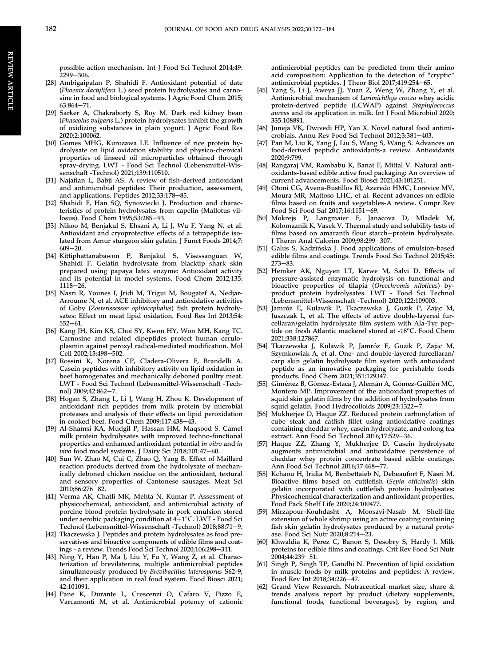possible action mechanism. Int J Food Sci Technol 2014;49:  $2299 - 306$ 

- <span id="page-11-0"></span>[28] Ambigaipalan P, Shahidi F. Antioxidant potential of date (Phoenix dactylifera L.) seed protein hydrolysates and carnosine in food and biological systems. J Agric Food Chem 2015;  $63:864 - 71.$
- <span id="page-11-1"></span>[29] Sarker A, Chakraborty S, Roy M. Dark red kidney bean (Phaseolus vulgaris L.) protein hydrolysates inhibit the growth of oxidizing substances in plain yogurt. J Agric Food Res 2020;2:100062.
- <span id="page-11-2"></span>[30] Gomes MHG, Kurozawa LE. Influence of rice protein hydrolysate on lipid oxidation stability and physico-chemical properties of linseed oil microparticles obtained through spray-drying. LWT - Food Sci Technol (Lebensmittel-Wissenschaft -Technol) 2021;139:110510.
- <span id="page-11-3"></span>[31] Najafian L, Babji AS. A review of fish-derived antioxidant and antimicrobial peptides: Their production, assessment, and applications. Peptides 2012;33:178-85.
- <span id="page-11-4"></span>[32] Shahidi F, Han SQ, Synowiecki J. Production and characteristics of protein hydrolysates from capelin (Mallotus villosus). Food Chem 1995;53:285-93.
- <span id="page-11-5"></span>[33] Nikoo M, Benjakul S, Ehsani A, Li J, Wu F, Yang N, et al. Antioxidant and cryoprotective effects of a tetrapeptide isolated from Amur sturgeon skin gelatin. J Funct Foods 2014;7:  $609 - 20.$
- <span id="page-11-6"></span>[34] Kittiphattanabawon P, Benjakul S, Visessanguan W, Shahidi F. Gelatin hydrolysate from blacktip shark skin prepared using papaya latex enzyme: Antioxidant activity and its potential in model systems. Food Chem 2012;135:  $1118 - 26.$
- <span id="page-11-7"></span>[35] Nasri R, Younes I, Jridi M, Trigui M, Bougatef A, Nedjar-Arroume N, et al. ACE inhibitory and antioxidative activities of Goby (Zosterissessor ophiocephalus) fish protein hydrolysates: Effect on meat lipid oxidation. Food Res Int 2013;54:  $552 - 61.$
- <span id="page-11-8"></span>[36] Kang JH, Kim KS, Choi SY, Kwon HY, Won MH, Kang TC. Carnosine and related dipeptides protect human ceruloplasmin against peroxyl radical-mediated modification. Mol Cell 2002;13:498-502.
- <span id="page-11-9"></span>[37] Rossini K, Norena CP, Cladera-Olivera F, Brandelli A. Casein peptides with inhibitory activity on lipid oxidation in beef homogenates and mechanically deboned poultry meat. LWT - Food Sci Technol (Lebensmittel-Wissenschaft -Technol) 2009;42:862-7.
- <span id="page-11-10"></span>[38] Hogan S, Zhang L, Li J, Wang H, Zhou K. Development of antioxidant rich peptides from milk protein by microbial proteases and analysis of their effects on lipid peroxidation in cooked beef. Food Chem 2009;117:438-43.
- <span id="page-11-11"></span>[39] Al-Shamsi KA, Mudgil P, Hassan HM, Maqsood S. Camel milk protein hydrolysates with improved techno-functional properties and enhanced antioxidant potential in vitro and in vivo food model systems. J Dairy Sci 2018;101:47-60.
- <span id="page-11-12"></span>[40] Sun W, Zhao M, Cui C, Zhao Q, Yang B. Effect of Maillard reaction products derived from the hydrolysate of mechanically deboned chicken residue on the antioxidant, textural and sensory properties of Cantonese sausages. Meat Sci 2010;86:276-82.
- <span id="page-11-13"></span>[41] Verma AK, Chatli MK, Mehta N, Kumar P. Assessment of physicochemical, antioxidant, and antimicrobial activity of porcine blood protein hydrolysate in pork emulsion stored under aerobic packaging condition at  $4+1$ °C. LWT - Food Sci Technol (Lebensmittel-Wissenschaft -Technol) 2018;88:71-9.
- <span id="page-11-14"></span>[42] Tkaczewska J. Peptides and protein hydrolysates as food preservatives and bioactive components of edible films and coatings - a review. Trends Food Sci Technol 2020;106:298-311.
- <span id="page-11-15"></span>[43] Ning Y, Han P, Ma J, Liu Y, Fu Y, Wang Z, et al. Characterization of brevilaterins, multiple antimicrobial peptides simultaneously produced by Brevibacillus laterosporus S62-9, and their application in real food system. Food Biosci 2021; 42:101091.
- <span id="page-11-16"></span>[44] Pane K, Durante L, Crescenzi O, Cafaro V, Pizzo E, Varcamonti M, et al. Antimicrobial potency of cationic

antimicrobial peptides can be predicted from their amino acid composition: Application to the detection of "cryptic" antimicrobial peptides. J Theor Biol 2017;419:254-65.

- <span id="page-11-17"></span>[45] Yang S, Li J, Aweya JJ, Yuan Z, Weng W, Zhang Y, et al. Antimicrobial mechanism of Larimichthys crocea whey acidic protein-derived peptide (LCWAP) against Staphylococcus aureus and its application in milk. Int J Food Microbiol 2020; 335:108891.
- <span id="page-11-18"></span>[46] Juneja VK, Dwivedi HP, Yan X. Novel natural food antimicrobials. Annu Rev Food Sci Technol 2012;3:381-403.
- <span id="page-11-19"></span>[47] Pan M, Liu K, Yang J, Liu S, Wang S, Wang S. Advances on food-derived peptidic antioxidants-a review. Antioxidants 2020;9:799.
- <span id="page-11-20"></span>[48] Rangaraj VM, Rambabu K, Banat F, Mittal V. Natural antioxidants-based edible active food packaging: An overview of current advancements. Food Biosci 2021;43:101251.
- <span id="page-11-21"></span>[49] Otoni CG, Avena-Bustillos RJ, Azeredo HMC, Lorevice MV, Moura MR, Mattoso LHC, et al. Recent advances on edible films based on fruits and vegetables-A review. Compr Rev Food Sci Food Saf 2017;16:1151-69.
- <span id="page-11-22"></span>[50] Mokrejs P, Langmaier F, Janacova D, Mladek M, Kolomaznik K, Vasek V. Thermal study and solubility tests of films based on amaranth flour starch-protein hydrolysate. J Therm Anal Calorim 2009;98:299-307.
- <span id="page-11-23"></span>[51] Galus S, Kadzińska J. Food applications of emulsion-based edible films and coatings. Trends Food Sci Technol 2015;45:  $273 - 83.$
- <span id="page-11-24"></span>[52] Hemker AK, Nguyen LT, Karwe M, Salvi D. Effects of pressure-assisted enzymatic hydrolysis on functional and bioactive properties of tilapia (Oreochromis niloticus) byproduct protein hydrolysates. LWT - Food Sci Technol (Lebensmittel-Wissenschaft -Technol) 2020;122:109003.
- [53] Jamróz E, Kulawik P, Tkaczewska J, Guzik P, Zając M, Juszczak L, et al. The effects of active double-layered furcellaran/gelatin hydrolysate film system with Ala-Tyr peptide on fresh Atlantic mackerel stored at -18°C. Food Chem 2021;338:127867.
- <span id="page-11-31"></span>[54] Tkaczewska J, Kulawik P, Jamróz E, Guzik P, Zając M, Szymkowiak A, et al. One- and double-layered furcellaran/ carp skin gelatin hydrolysate film system with antioxidant peptide as an innovative packaging for perishable foods products. Food Chem 2021;351:129347.
- <span id="page-11-25"></span>[55] Giménez B, Gómez-Estaca J, Alemán A, Gómez-Guillén MC, Montero MP. Improvement of the antioxidant properties of squid skin gelatin films by the addition of hydrolysates from squid gelatin. Food Hydrocolloids  $2009;23:1322-7$ .
- <span id="page-11-26"></span>[56] Mukherjee D, Haque ZZ. Reduced protein carbonylation of cube steak and catfish fillet using antioxidative coatings containing cheddar whey, casein hydrolyzate, and oolong tea extract. Ann Food Sci Technol 2016;17:529-36.
- <span id="page-11-27"></span>[57] Haque ZZ, Zhang Y, Mukherjee D. Casein hydrolysate augments antimicrobial and antioxidative persistence of cheddar whey protein concentrate based edible coatings. Ann Food Sci Technol 2016;17:468-77.
- <span id="page-11-32"></span>[58] Kchaou H, Jridia M, Benbettaieb N, Debeaufort F, Nasri M. Bioactive films based on cuttlefish (Sepia officinalis) skin gelatin incorporated with cuttlefish protein hydrolysates: Physicochemical characterization and antioxidant properties. Food Pack Shelf Life 2020;24:100477.
- <span id="page-11-33"></span>[59] Mirzapour-Kouhdasht A, Moosavi-Nasab M. Shelf-life extension of whole shrimp using an active coating containing fish skin gelatin hydrolysates produced by a natural protease. Food Sci Nutr 2020;8:214-23.
- <span id="page-11-28"></span>[60] Khwaldia K, Perez C, Banon S, Desobry S, Hardy J. Milk proteins for edible films and coatings. Crit Rev Food Sci Nutr 2004:44:239-51.
- <span id="page-11-29"></span>[61] Singh P, Singh TP, Gandhi N. Prevention of lipid oxidation in muscle foods by milk proteins and peptides: A review. Food Rev Int 2018;34:226-47.
- <span id="page-11-30"></span>[62] Grand View Research. Nutraceutical market size, share & trends analysis report by product (dietary supplements, functional foods, functional beverages), by region, and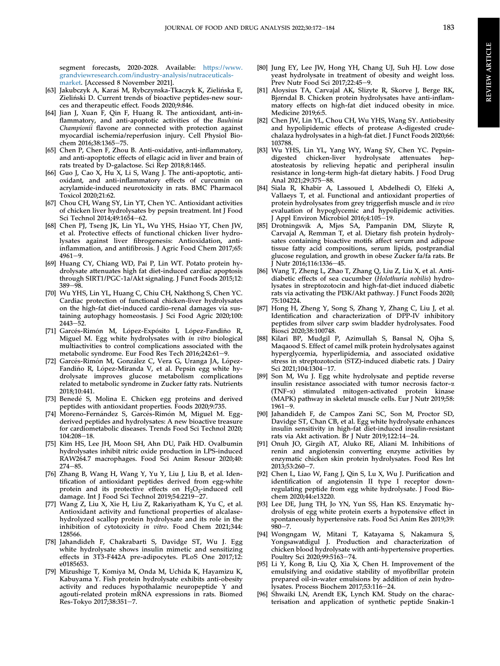segment forecasts, 2020-2028. Available: [https://www.](https://www.grandviewresearch.com/industry-analysis/nutraceuticals-market) [grandviewresearch.com/industry-analysis/nutraceuticals](https://www.grandviewresearch.com/industry-analysis/nutraceuticals-market)[market](https://www.grandviewresearch.com/industry-analysis/nutraceuticals-market). [Accessed 8 November 2021].

- <span id="page-12-2"></span>[63] Jakubczyk A, Karaś M, Rybczynska-Tkaczyk K, Zielińska E, Zielinski D. Current trends of bioactive peptides-new sour ces and therapeutic effect. Foods 2020;9:846.
- <span id="page-12-3"></span>[64] Jian J, Xuan F, Qin F, Huang R. The antioxidant, anti-inflammatory, and anti-apoptotic activities of the Bauhinia Championii flavone are connected with protection against myocardial ischemia/reperfusion injury. Cell Physiol Biochem 2016;38:1365-75.
- [65] Chen P, Chen F, Zhou B. Anti-oxidative, anti-inflammatory, and anti-apoptotic effects of ellagic acid in liver and brain of rats treated by D-galactose. Sci Rep 2018;8:1465.
- [66] Guo J, Cao X, Hu X, Li S, Wang J. The anti-apoptotic, antioxidant, and anti-inflammatory effects of curcumin on acrylamide-induced neurotoxicity in rats. BMC Pharmacol Toxicol 2020;21:62.
- <span id="page-12-4"></span>[67] Chou CH, Wang SY, Lin YT, Chen YC. Antioxidant activities of chicken liver hydrolysates by pepsin treatment. Int J Food Sci Technol 2014;49:1654-62.
- <span id="page-12-5"></span>[68] Chen PJ, Tseng JK, Lin YL, Wu YHS, Hsiao YT, Chen JW, et al. Protective effects of functional chicken liver hydrolysates against liver fibrogenesis: Antioxidation, antiinflammation, and antifibrosis. J Agric Food Chem 2017;65:  $4961 - 9.$
- <span id="page-12-6"></span>[69] Huang CY, Chiang WD, Pai P, Lin WT. Potato protein hydrolysate attenuates high fat diet-induced cardiac apoptosis through SIRT1/PGC-1a/Akt signaling. J Funct Foods 2015;12:  $389 - 98.$
- <span id="page-12-7"></span>[70] Wu YHS, Lin YL, Huang C, Chiu CH, Nakthong S, Chen YC. Cardiac protection of functional chicken-liver hydrolysates on the high-fat diet-induced cardio-renal damages via sustaining autophagy homeostasis. J Sci Food Agric 2020;100:  $2443 - 52.$
- <span id="page-12-8"></span>[71] Garcés-Rimón M, López-Expósito I, López-Fandiño R, Miguel M. Egg white hydrolysates with in vitro biological multiactivities to control complications associated with the metabolic syndrome. Eur Food Res Tech 2016;242:61-9.
- <span id="page-12-19"></span>[72] Garcés-Rimón M, González C, Vera G, Uranga JA, López-Fandiño R, López-Miranda V, et al. Pepsin egg white hydrolysate improves glucose metabolism complications related to metabolic syndrome in Zucker fatty rats. Nutrients 2018;10:441.
- [73] Benedé S, Molina E. Chicken egg proteins and derived peptides with antioxidant properties. Foods 2020;9:735.
- [74] Moreno-Fernández S, Garcés-Rimón M, Miguel M. Eggderived peptides and hydrolysates: A new bioactive treasure for cardiometabolic diseases. Trends Food Sci Technol 2020; 104:208-18.
- <span id="page-12-9"></span>[75] Kim HS, Lee JH, Moon SH, Ahn DU, Paik HD. Ovalbumin hydrolysates inhibit nitric oxide production in LPS-induced RAW264.7 macrophages. Food Sci Anim Resour 2020;40:  $274 - 85.$
- <span id="page-12-10"></span>[76] Zhang B, Wang H, Wang Y, Yu Y, Liu J, Liu B, et al. Identification of antioxidant peptides derived from egg-white protein and its protective effects on H<sub>2</sub>O<sub>2</sub>-induced cell damage. Int J Food Sci Technol 2019;54:2219-27.
- <span id="page-12-11"></span>[77] Wang Z, Liu X, Xie H, Liu Z, Rakariyatham K, Yu C, et al. Antioxidant activity and functional properties of alcalasehydrolyzed scallop protein hydrolysate and its role in the inhibition of cytotoxicity in vitro. Food Chem 2021;344: 128566.
- <span id="page-12-20"></span>[78] Jahandideh F, Chakrabarti S, Davidge ST, Wu J. Egg white hydrolysate shows insulin mimetic and sensitizing effects in 3T3-F442A pre-adipocytes. PLoS One 2017;12: e0185653.
- <span id="page-12-15"></span>[79] Mizushige T, Komiya M, Onda M, Uchida K, Hayamizu K, Kabuyama Y. Fish protein hydrolysate exhibits anti-obesity activity and reduces hypothalamic neuropeptide Y and agouti-related protein mRNA expressions in rats. Biomed Res-Tokyo 2017;38:351-7.
- <span id="page-12-16"></span>[80] Jung EY, Lee JW, Hong YH, Chang UJ, Suh HJ. Low dose yeast hydrolysate in treatment of obesity and weight loss. Prev Nutr Food Sci 2017;22:45-9.
- <span id="page-12-13"></span>[81] Aloysius TA, Carvajal AK, Slizyte R, Skorve J, Berge RK, Bjørndal B. Chicken protein hydrolysates have anti-inflammatory effects on high-fat diet induced obesity in mice. Medicine 2019;6:5.
- <span id="page-12-14"></span>[82] Chen JW, Lin YL, Chou CH, Wu YHS, Wang SY. Antiobesity and hypolipidemic effects of protease A-digested crudechalaza hydrolysates in a high-fat diet. J Funct Foods 2020;66: 103788.
- <span id="page-12-12"></span>[83] Wu YHS, Lin YL, Yang WY, Wang SY, Chen YC. Pepsindigested chicken-liver hydrolysate attenuates hepatosteatosis by relieving hepatic and peripheral insulin resistance in long-term high-fat dietary habits. J Food Drug Anal 2021;29:375-88.
- <span id="page-12-22"></span>[84] Siala R, Khabir A, Lassoued I, Abdelhedi O, Elfeki A, Vallaeys T, et al. Functional and antioxidant properties of protein hydrolysates from grey triggerfish muscle and in vivo evaluation of hypoglycemic and hypolipidemic activities. Appl Environ Microbiol 2016;4:105-19.
- <span id="page-12-25"></span>[85] Drotningsvik A, Mjøs SA, Pampanin DM, Slizyte R, Carvajal A, Remman T, et al. Dietary fish protein hydrolysates containing bioactive motifs affect serum and adipose tissue fatty acid compositions, serum lipids, postprandial glucose regulation, and growth in obese Zucker fa/fa rats. Br J Nutr 2016;116:1336-45.
- <span id="page-12-24"></span>[86] Wang T, Zheng L, Zhao T, Zhang Q, Liu Z, Liu X, et al. Antidiabetic effects of sea cucumber (Holothuria nobilis) hydrolysates in streptozotocin and high-fat-diet induced diabetic rats via activating the PI3K/Akt pathway. J Funct Foods 2020; 75:104224.
- <span id="page-12-18"></span>[87] Hong H, Zheng Y, Song S, Zhang Y, Zhang C, Liu J, et al. Identification and characterization of DPP-IV inhibitory peptides from silver carp swim bladder hydrolysates. Food Biosci 2020;38:100748.
- <span id="page-12-17"></span>[88] Kilari BP, Mudgil P, Azimullah S, Bansal N, Ojha S, Maqaood S. Effect of camel milk protein hydrolysates against hyperglycemia, hyperlipidemia, and associated oxidative stress in streptozotocin (STZ)-induced diabetic rats. J Dairy Sci 2021:104:1304-17.
- <span id="page-12-21"></span>[89] Son M, Wu J. Egg white hydrolysate and peptide reverse insulin resistance associated with tumor necrosis factor-a (TNF-a) stimulated mitogen-activated protein kinase (MAPK) pathway in skeletal muscle cells. Eur J Nutr 2019;58:  $1961 - 9.$
- <span id="page-12-23"></span>[90] Jahandideh F, de Campos Zani SC, Son M, Proctor SD, Davidge ST, Chan CB, et al. Egg white hydrolysate enhances insulin sensitivity in high-fat diet-induced insulin-resistant rats via Akt activation. Br J Nutr 2019;122:14-24.
- <span id="page-12-27"></span>[91] Onuh JO, Girgih AT, Aluko RE, Aliani M. Inhibitions of renin and angiotensin converting enzyme activities by enzymatic chicken skin protein hydrolysates. Food Res Int  $2013;53:260 - 7.$
- <span id="page-12-28"></span>[92] Chen L, Liao W, Fang J, Qin S, Lu X, Wu J. Purification and identification of angiotensin II type I receptor downregulating peptide from egg white hydrolysate. J Food Biochem 2020;44:e13220.
- <span id="page-12-29"></span>[93] Lee DE, Jung TH, Jo YN, Yun SS, Han KS. Enzymatic hydrolysis of egg white protein exerts a hypotensive effect in spontaneously hypertensive rats. Food Sci Anim Res 2019;39:  $980 - 7.$
- <span id="page-12-26"></span>[94] Wongngam W, Mitani T, Katayama S, Nakamura S, Yongsawatdigul J. Production and characterization of chicken blood hydrolysate with anti-hypertensive properties. Poultry Sci 2020;99:5163-74.
- <span id="page-12-0"></span>[95] Li Y, Kong B, Liu Q, Xia X, Chen H. Improvement of the emulsifying and oxidative stability of myofibrillar protein prepared oil-in-water emulsions by addition of zein hydrolysates. Process Biochem 2017;53:116-24.
- <span id="page-12-1"></span>[96] Shwaiki LN, Arendt EK, Lynch KM. Study on the characterisation and application of synthetic peptide Snakin-1